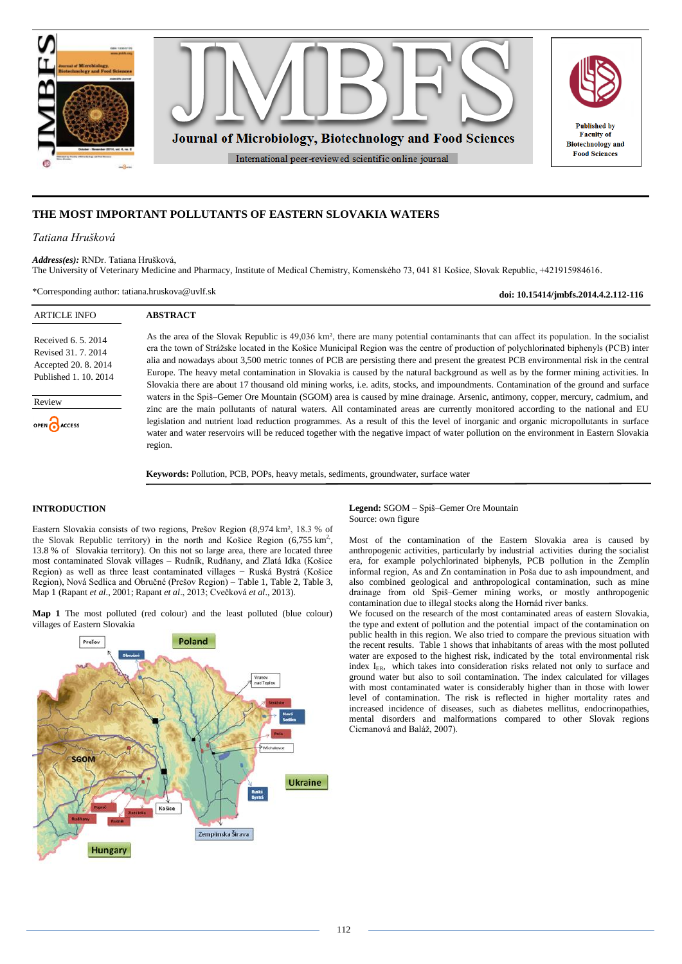

# **THE MOST IMPORTANT POLLUTANTS OF EASTERN SLOVAKIA WATERS**

## *Tatiana Hrušková*

*Address(es):* RNDr. Tatiana Hrušková, The University of Veterinary Medicine and Pharmacy, Institute of Medical Chemistry, Komenského 73, 041 81 Košice, Slovak Republic, +421915984616.

\*Corresponding author: tatiana.hruskova@uvlf.sk

**ABSTRACT**

**doi: 10.15414/jmbfs.2014.4.2.112-116**

## ARTICLE INFO

Received 6. 5. 2014 Revised 31. 7. 2014 Accepted 20. 8. 2014 Published 1. 10. 2014

Review

OPEN ACCESS

As the area of the Slovak Republic is 49,036 km², there are many potential contaminants that can affect its population. In the socialist era the town of Strážske located in the Košice Municipal Region was the centre of production of polychlorinated biphenyls (PCB) inter alia and nowadays about 3,500 metric tonnes of PCB are persisting there and present the greatest PCB environmental risk in the central Europe. The heavy metal contamination in Slovakia is caused by the natural background as well as by the former mining activities. In Slovakia there are about 17 thousand old mining works, i.e. adits, stocks, and impoundments. Contamination of the ground and surface waters in the Spiš–Gemer Ore Mountain (SGOM) area is caused by mine drainage. Arsenic, antimony, copper, mercury, cadmium, and zinc are the main pollutants of natural waters. All contaminated areas are currently monitored according to the national and EU legislation and nutrient load reduction programmes. As a result of this the level of inorganic and organic micropollutants in surface water and water reservoirs will be reduced together with the negative impact of water pollution on the environment in Eastern Slovakia region.

**Keywords:** Pollution, PCB, POPs, heavy metals, sediments, groundwater, surface water

# **INTRODUCTION**

Eastern Slovakia consists of two regions, Prešov Region (8,974 km², 18.3 % of the Slovak Republic territory) in the north and Košice Region  $(6,755 \text{ km}^2,$ 13.8 % of Slovakia territory). On this not so large area, there are located three most contaminated Slovak villages – Rudník, Rudňany, and Zlatá Idka (Košice Region) as well as three least contaminated villages − Ruská Bystrá (Košice Region), Nová Sedlica and Obručné (Prešov Region) – Table 1, Table 2, Table 3, Map 1 (Rapant *et al*., 2001; Rapant *et al*., 2013; Cvečková *et al*., 2013).

**Map 1** The most polluted (red colour) and the least polluted (blue colour) villages of Eastern Slovakia



**Legend:** SGOM – Spiš–Gemer Ore Mountain Source: own figure

Most of the contamination of the Eastern Slovakia area is caused by anthropogenic activities, particularly by industrial activities during the socialist era, for example polychlorinated biphenyls, PCB pollution in the Zemplín informal region, As and Zn contamination in Poša due to ash impoundment, and also combined geological and anthropological contamination, such as mine drainage from old Spiš–Gemer mining works, or mostly anthropogenic contamination due to illegal stocks along the Hornád river banks.

We focused on the research of the most contaminated areas of eastern Slovakia, the type and extent of pollution and the potential impact of the contamination on public health in this region. We also tried to compare the previous situation with the recent results. Table 1 shows that inhabitants of areas with the most polluted water are exposed to the highest risk, indicated by the total environmental risk index I<sub>ER</sub>, which takes into consideration risks related not only to surface and ground water but also to soil contamination. The index calculated for villages with most contaminated water is considerably higher than in those with lower level of contamination. The risk is reflected in higher mortality rates and increased incidence of diseases, such as diabetes mellitus, endocrinopathies, mental disorders and malformations compared to other Slovak regions Cicmanová and Baláž, 2007).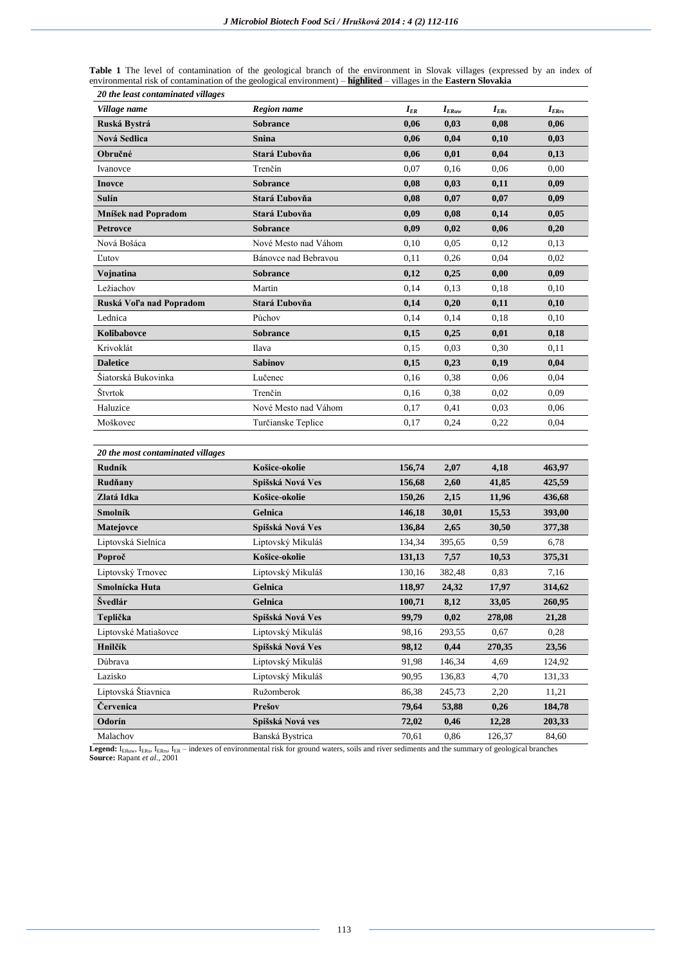|  |  |  |                                    |  |                                                                                                                                 |  |  |  |  | <b>Table 1</b> The level of contamination of the geological branch of the environment in Slovak villages (expressed by an index of |  |  |
|--|--|--|------------------------------------|--|---------------------------------------------------------------------------------------------------------------------------------|--|--|--|--|------------------------------------------------------------------------------------------------------------------------------------|--|--|
|  |  |  |                                    |  | environmental risk of contamination of the geological environment) – <b>highlited</b> – villages in the <b>Eastern Slovakia</b> |  |  |  |  |                                                                                                                                    |  |  |
|  |  |  | 20 the least contaminated villages |  |                                                                                                                                 |  |  |  |  |                                                                                                                                    |  |  |

| Village name                      | Region name          | $I_{ER}$ | $I_{ERuw}$ | $I_{ERs}$ | $I_{ERrs}$ |
|-----------------------------------|----------------------|----------|------------|-----------|------------|
| Ruská Bystrá                      | <b>Sobrance</b>      | 0,06     | 0,03       | 0,08      | 0.06       |
| <b>Nová Sedlica</b>               | <b>Snina</b>         | 0,06     | 0,04       | 0,10      | 0,03       |
| Obručné                           | Stará Ľubovňa        | 0,06     | 0,01       | 0,04      | 0,13       |
| Ivanovce                          | Trenčín              | 0,07     | 0,16       | 0.06      | 0.00       |
| <b>Inovce</b>                     | <b>Sobrance</b>      | 0,08     | 0,03       | 0,11      | 0,09       |
| Sulín                             | Stará Ľubovňa        | 0,08     | 0,07       | 0,07      | 0,09       |
| Mníšek nad Popradom               | Stará Ľubovňa        | 0,09     | 0,08       | 0,14      | 0,05       |
| <b>Petrovce</b>                   | <b>Sobrance</b>      | 0,09     | 0,02       | 0,06      | 0,20       |
| Nová Bošáca                       | Nové Mesto nad Váhom | 0,10     | 0,05       | 0,12      | 0.13       |
| <b>L</b> utov                     | Bánovce nad Bebravou | 0,11     | 0.26       | 0,04      | 0,02       |
| Vojnatina                         | <b>Sobrance</b>      | 0,12     | 0,25       | 0,00      | 0,09       |
| Ležiachov                         | Martin               | 0,14     | 0,13       | 0,18      | 0,10       |
| Ruská Voľa nad Popradom           | Stará Ľubovňa        | 0,14     | 0,20       | 0,11      | 0,10       |
| Lednica                           | Púchov               | 0,14     | 0,14       | 0,18      | 0,10       |
| Kolibabovce                       | <b>Sobrance</b>      | 0,15     | 0,25       | 0,01      | 0,18       |
| Krivoklát                         | Ilava                | 0.15     | 0.03       | 0.30      | 0,11       |
| <b>Daletice</b>                   | Sabinov              | 0,15     | 0,23       | 0,19      | 0,04       |
| Šiatorská Bukovinka               | Lučenec              | 0,16     | 0,38       | 0,06      | 0.04       |
| <b>Styrtok</b>                    | Trenčín              | 0,16     | 0,38       | 0.02      | 0.09       |
| Haluzice                          | Nové Mesto nad Váhom | 0,17     | 0,41       | 0,03      | 0,06       |
| Moškovec                          | Turčianske Teplice   | 0,17     | 0.24       | 0,22      | 0.04       |
|                                   |                      |          |            |           |            |
| 20 the most contaminated villages |                      |          |            |           |            |
| Rudník                            | Košice-okolie        | 156,74   | 2,07       | 4,18      | 463,97     |
| Rudňany                           | Spišská Nová Ves     | 156,68   | 2,60       | 41,85     | 425,59     |
| Zlatá Idka                        | Košice-okolie        | 150,26   | 2,15       | 11,96     | 436,68     |
| Smolník                           | Gelnica              | 146,18   | 30,01      | 15,53     | 393,00     |
| Matejovce                         | Spišská Nová Ves     | 136,84   | 2,65       | 30,50     | 377,38     |
| Liptovská Sielnica                | Liptovský Mikuláš    | 134,34   | 395,65     | 0,59      | 6,78       |
| Poproč                            | Košice-okolie        | 131,13   | 7,57       | 10,53     | 375,31     |
| Liptovský Trnovec                 | Liptovský Mikuláš    | 130,16   | 382,48     | 0,83      | 7,16       |
| Smolnícka Huta                    | Gelnica              | 118,97   | 24,32      | 17,97     | 314,62     |
| Švedlár                           | Gelnica              | 100,71   | 8,12       | 33,05     | 260,95     |
| Teplička                          | Spišská Nová Ves     | 99,79    | 0,02       | 278,08    | 21,28      |
| Liptovské Matiašovce              | Liptovský Mikuláš    | 98,16    | 293,55     | 0,67      | 0,28       |
| Hnilčík                           | Spišská Nová Ves     | 98,12    | 0,44       | 270,35    | 23,56      |
| Dúbrava                           | Liptovský Mikuláš    | 91,98    | 146,34     | 4,69      | 124,92     |
| Lazisko                           | Liptovský Mikuláš    | 90,95    | 136,83     | 4,70      | 131,33     |

Malachov Banská Bystrica 70,61 0,86 126,37 84,60 Legend: I<sub>ERuw</sub>, I<sub>ERs</sub>, I<sub>ERs</sub>, I<sub>ER</sub> – indexes of environmental risk for ground waters, soils and river sediments and the summary of geological branches<br>Source: Rapant *et al.*, 2001

Liptovská Štiavnica Ružomberok 86,38 245,73 2,20 11,21 **Červenica Prešov 79,64 53,88 0,26 184,78 Odorín Spišská Nová ves 72,02 0,46 12,28 203,33**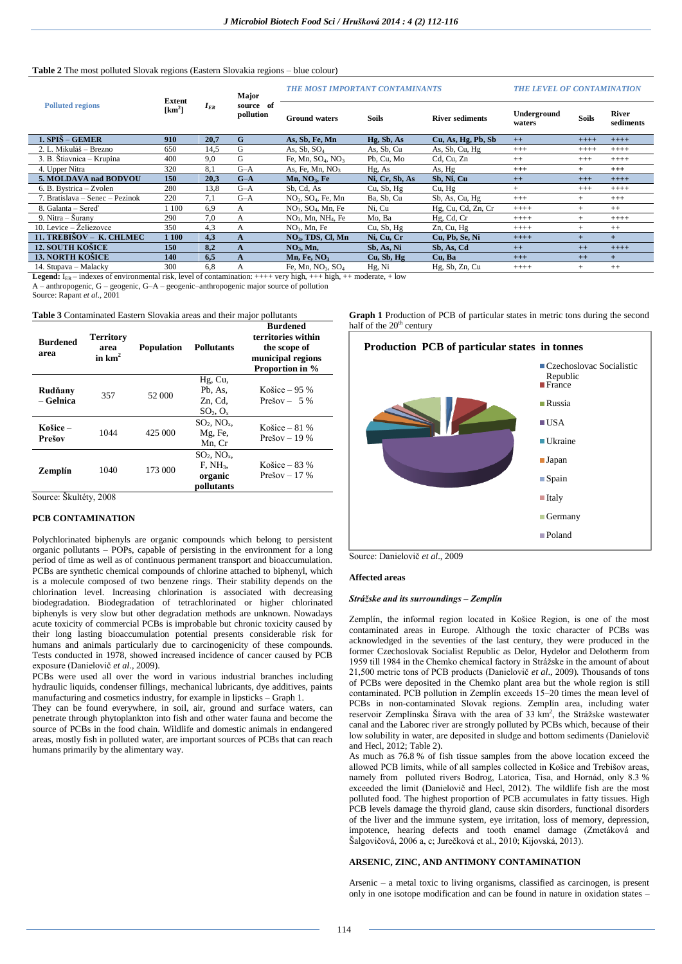# **Table 2** The most polluted Slovak regions (Eastern Slovakia regions – blue colour)

|                                   | <b>Extent</b> | $I_{ER}$ | Major<br>source of<br>pollution | <b>THE MOST IMPORTANT CONTAMINANTS</b> | <b>THE LEVEL OF CONTAMINATION</b> |                        |                       |              |                           |
|-----------------------------------|---------------|----------|---------------------------------|----------------------------------------|-----------------------------------|------------------------|-----------------------|--------------|---------------------------|
| <b>Polluted regions</b>           | $[km^2]$      |          |                                 | <b>Ground waters</b>                   | <b>Soils</b>                      | <b>River sediments</b> | Underground<br>waters | <b>Soils</b> | <b>River</b><br>sediments |
| 1. SPIŠ – GEMER                   | 910           | 20.7     | G                               | As, Sb, Fe, Mn                         | Hg, Sb, As                        | Cu, As, Hg, Pb, Sb     | $++$                  | $+++$        | $++++$                    |
| 2. L. Mikuláš – Brezno            | 650           | 14,5     | G                               | As, $Sb$ , $SO4$                       | As, Sb, Cu                        | As, Sb, Cu, Hg         | $^{+++}$              | $++++$       | $++++$                    |
| 3. B. Štiavnica – Krupina         | 400           | 9.0      | G                               | Fe, Mn, $SO_4$ , NO <sub>3</sub>       | Pb, Cu, Mo                        | Cd, Cu, Zn             | $++$                  | $^{+++}$     | $+++++$                   |
| 4. Upper Nitra                    | 320           | 8.1      | $G-A$                           | As, Fe, Mn, $NO3$                      | Hg, As                            | As, Hg                 | $^{+++}$              | $+$          | $^{+++}$                  |
| 5. MOLDAVA nad BODVOU             | 150           | 20,3     | $G-A$                           | Mn, NO <sub>3</sub> , Fe               | Ni, Cr, Sb, As                    | Sb, Ni, Cu             | $++$                  | $+++$        | $++++$                    |
| 6. B. Bystrica - Zvolen           | 280           | 13,8     | $G-A$                           | Sb, Cd, As                             | Cu, Sb, Hg                        | Cu, Hg                 | $^{+}$                | $^{+++}$     | $++++$                    |
| 7. Bratislava – Senec – Pezinok   | 220           | 7.1      | $G-A$                           | $NO3$ , $SO4$ , Fe, Mn                 | Ba, Sb, Cu                        | Sb, As, Cu, Hg         | $+++$                 | $+$          | $+++$                     |
| 8. Galanta - Sered'               | 1 100         | 6,9      | A                               | $NO3$ , $SO4$ , Mn, Fe                 | Ni, Cu                            | Hg, Cu, Cd, Zn, Cr     | $+++++$               | $+$          | $++$                      |
| 9. Nitra – Šurany                 | 290           | 7.0      | A                               | $NO3$ , Mn, NH <sub>4</sub> , Fe       | Mo, Ba                            | Hg, Cd, Cr             | $+++++$               | $+$          | $+++++$                   |
| 10. Levice $-\check{Z}$ eliezovce | 350           | 4,3      | А                               | $NO3$ , Mn, Fe                         | Cu, Sb, Hg                        | Zn, Cu, Hg             | $+++++$               | $^{+}$       | $^{++}$                   |
| 11. TREBIŠOV – K. CHLMEC          | 1 100         | 4.3      | A                               | $NO3$ , TDS, Cl, Mn                    | Ni, Cu, Cr                        | Cu, Pb, Se, Ni         | $++++$                | $+$          | $+$                       |
| <b>12. SOUTH KOŠICE</b>           | 150           | 8.2      | A                               | NO <sub>3</sub> , Mn,                  | Sb, As, Ni                        | Sb, As, Cd             | $++$                  | $++$         | $++++$                    |
| <b>13. NORTH KOŠICE</b>           | 140           | 6,5      | A                               | Mn, Fe, $NO3$                          | Cu, Sb, Hg                        | Cu, Ba                 | $+++$                 | $++$         | $+$                       |
| 14. Stupava - Malacky             | 300           | 6,8      | А                               | Fe, Mn, $NO3$ , $SO4$                  | Hg, Ni                            | Hg, Sb, Zn, Cu         | $++++$                | $^{+}$       | $++$                      |

**Legend:**  $I_{FR}$  – indexes of environmental risk, level of contamination:  $+++$  very high,  $+++$  high,  $++$  moderate,  $+$  low A – anthropogenic, G – geogenic, G–A – geogenic–anthropogenic major source of pollution

Source: Rapant *et al*., 2001

**Table 3** Contaminated Eastern Slovakia areas and their major pollutants

| <b>Burdened</b><br>area | <b>Territory</b><br>area<br>in $km2$ | <b>Population</b> | <b>Pollutants</b>                                                   | <b>Burdened</b><br>territories within<br>the scope of<br>municipal regions<br><b>Proportion in %</b> |
|-------------------------|--------------------------------------|-------------------|---------------------------------------------------------------------|------------------------------------------------------------------------------------------------------|
| Rudňany<br>– Gelnica    | 357                                  | 52 000            | Hg, Cu,<br>Pb, As,<br>Zn. Cd.<br>$SO_2, O_x$                        | Košice – 95 %<br>Prešov $-5\%$                                                                       |
| Košice –<br>Prešov      | 1044                                 | 425 000           | $SO2$ , NO <sub>x</sub> ,<br>Mg, Fe,<br>Mn, Cr                      | Košice – 81 %<br>Prešov $-19\%$                                                                      |
| Zemplín                 | 1040                                 | 173 000           | $SO2$ , NO <sub>x</sub> ,<br>$F$ , $NH3$ ,<br>organic<br>pollutants | Košice – $83\%$<br>Prešov – 17 %                                                                     |

## Source: Škultéty, 2008

## **PCB CONTAMINATION**

Polychlorinated biphenyls are organic compounds which belong to persistent organic pollutants – POPs, capable of persisting in the environment for a long period of time as well as of continuous permanent transport and bioaccumulation. PCBs are synthetic chemical compounds of chlorine attached to biphenyl, which is a molecule composed of two benzene rings. Their stability depends on the chlorination level. Increasing chlorination is associated with decreasing biodegradation. Biodegradation of tetrachlorinated or higher chlorinated biphenyls is very slow but other degradation methods are unknown. Nowadays acute toxicity of commercial PCBs is improbable but chronic toxicity caused by their long lasting bioaccumulation potential presents considerable risk for humans and animals particularly due to carcinogenicity of these compounds. Tests conducted in 1978, showed increased incidence of cancer caused by PCB exposure (Danielovič *et al*., 2009).

PCBs were used all over the word in various industrial branches including hydraulic liquids, condenser fillings, mechanical lubricants, dye additives, paints manufacturing and cosmetics industry, for example in lipsticks – Graph 1.

They can be found everywhere, in soil, air, ground and surface waters, can penetrate through phytoplankton into fish and other water fauna and become the source of PCBs in the food chain. Wildlife and domestic animals in endangered areas, mostly fish in polluted water, are important sources of PCBs that can reach humans primarily by the alimentary way.

**Graph 1** Production of PCB of particular states in metric tons during the second half of the  $20<sup>th</sup>$  century



Source: Danielovič *et al*., 2009

#### **Affected areas**

#### *Strážske and its surroundings – Zemplín*

Zemplín, the informal region located in Košice Region, is one of the most contaminated areas in Europe. Although the toxic character of PCBs was acknowledged in the seventies of the last century, they were produced in the former Czechoslovak Socialist Republic as Delor, Hydelor and Delotherm from 1959 till 1984 in the Chemko chemical factory in Strážske in the amount of about 21,500 metric tons of PCB products (Danielovič *et al*., 2009). Thousands of tons of PCBs were deposited in the Chemko plant area but the whole region is still contaminated. PCB pollution in Zemplín exceeds 15–20 times the mean level of PCBs in non-contaminated Slovak regions. Zemplín area, including water reservoir Zemplínska Šírava with the area of 33 km<sup>2</sup>, the Strážske wastewater canal and the Laborec river are strongly polluted by PCBs which, because of their low solubility in water, are deposited in sludge and bottom sediments (Danielovič and Hecl, 2012; Table 2).

As much as 76.8 % of fish tissue samples from the above location exceed the allowed PCB limits, while of all samples collected in Košice and Trebišov areas, namely from polluted rivers Bodrog, Latorica, Tisa, and Hornád, only 8.3 % exceeded the limit (Danielovič and Hecl, 2012). The wildlife fish are the most polluted food. The highest proportion of PCB accumulates in fatty tissues. High PCB levels damage the thyroid gland, cause skin disorders, functional disorders of the liver and the immune system, eye irritation, loss of memory, depression, impotence, hearing defects and tooth enamel damage (Zmetáková and Šalgovičová, 2006 a, c; Jurečková et al., 2010; Kijovská, 2013).

## **ARSENIC, ZINC, AND ANTIMONY CONTAMINATION**

Arsenic – a metal toxic to living organisms, classified as carcinogen, is present only in one isotope modification and can be found in nature in oxidation states –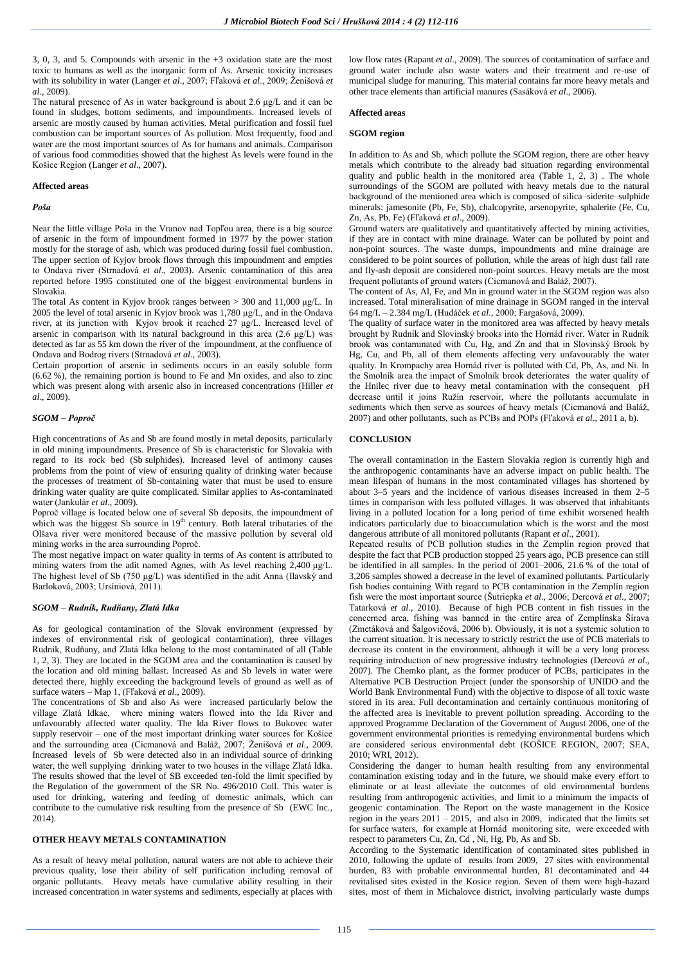3, 0, 3, and 5. Compounds with arsenic in the +3 oxidation state are the most toxic to humans as well as the inorganic form of As. Arsenic toxicity increases with its solubility in water (Langer *et al*., 2007; Fľaková *et al*., 2009; Ženišová *et al*., 2009).

The natural presence of As in water background is about 2.6 μg/L and it can be found in sludges, bottom sediments, and impoundments. Increased levels of arsenic are mostly caused by human activities. Metal purification and fossil fuel combustion can be important sources of As pollution. Most frequently, food and water are the most important sources of As for humans and animals. Comparison of various food commodities showed that the highest As levels were found in the Košice Region (Langer *et al*., 2007).

### **Affected areas**

#### *Poša*

Near the little village Poša in the Vranov nad Topľou area, there is a big source of arsenic in the form of impoundment formed in 1977 by the power station mostly for the storage of ash, which was produced during fossil fuel combustion. The upper section of Kyjov brook flows through this impoundment and empties to Ondava river (Strnadová *et al*., 2003). Arsenic contamination of this area reported before 1995 constituted one of the biggest environmental burdens in Slovakia.

The total As content in Kyjov brook ranges between > 300 and 11,000 μg/L. In 2005 the level of total arsenic in Kyjov brook was 1,780 μg/L, and in the Ondava river, at its junction with Kyjov brook it reached 27 μg/L. Increased level of arsenic in comparison with its natural background in this area (2.6 μg/L) was detected as far as 55 km down the river of the impoundment, at the confluence of Ondava and Bodrog rivers (Strnadová *et al*., 2003).

Certain proportion of arsenic in sediments occurs in an easily soluble form (6.62 %), the remaining portion is bound to Fe and Mn oxides, and also to zinc which was present along with arsenic also in increased concentrations (Hiller *et al*., 2009).

# *SGOM – Poproč*

High concentrations of As and Sb are found mostly in metal deposits, particularly in old mining impoundments. Presence of Sb is characteristic for Slovakia with regard to its rock bed (Sb sulphides). Increased level of antimony causes problems from the point of view of ensuring quality of drinking water because the processes of treatment of Sb-containing water that must be used to ensure drinking water quality are quite complicated. Similar applies to As-contaminated water (Jankulár *et al*., 2009).

Poproč village is located below one of several Sb deposits, the impoundment of which was the biggest Sb source in  $19<sup>th</sup>$  century. Both lateral tributaries of the Olšava river were monitored because of the massive pollution by several old mining works in the area surrounding Poproč.

The most negative impact on water quality in terms of As content is attributed to mining waters from the adit named Agnes, with As level reaching 2,400 μg/L. The highest level of Sb (750 μg/L) was identified in the adit Anna (Ilavský and Barloková, 2003; Ursíniová, 2011).

## *SGOM – Rudník, Rudňany, Zlatá Idka*

As for geological contamination of the Slovak environment (expressed by indexes of environmental risk of geological contamination), three villages Rudník, Rudňany, and Zlatá Idka belong to the most contaminated of all (Table 1, 2, 3). They are located in the SGOM area and the contamination is caused by the location and old mining ballast. Increased As and Sb levels in water were detected there, highly exceeding the background levels of ground as well as of surface waters – Map 1, (Fľaková *et al*., 2009).

The concentrations of Sb and also As were increased particularly below the village Zlatá Idkae, where mining waters flowed into the Ida River and unfavourably affected water quality. The Ida River flows to Bukovec water supply reservoir – one of the most important drinking water sources for Košice and the surrounding area (Cicmanová and Baláž, 2007; Ženišová *et al*., 2009. Increased levels of Sb were detected also in an individual source of drinking water, the well supplying drinking water to two houses in the village Zlatá Idka. The results showed that the level of SB exceeded ten-fold the limit specified by the Regulation of the government of the SR No. 496/2010 Coll. This water is used for drinking, watering and feeding of domestic animals, which can contribute to the cumulative risk resulting from the presence of Sb (EWC Inc., 2014).

# **OTHER HEAVY METALS CONTAMINATION**

As a result of heavy metal pollution, natural waters are not able to achieve their previous quality, lose their ability of self purification including removal of organic pollutants. Heavy metals have cumulative ability resulting in their increased concentration in water systems and sediments, especially at places with low flow rates (Rapant *et al.*, 2009). The sources of contamination of surface and ground water include also waste waters and their treatment and re-use of municipal sludge for manuring. This material contains far more heavy metals and other trace elements than artificial manures (Sasáková *et al*., 2006).

#### **Affected areas**

### **SGOM region**

In addition to As and Sb, which pollute the SGOM region, there are other heavy metals which contribute to the already bad situation regarding environmental quality and public health in the monitored area (Table 1, 2, 3) . The whole surroundings of the SGOM are polluted with heavy metals due to the natural background of the mentioned area which is composed of silica–siderite–sulphide minerals: jamesonite (Pb, Fe, Sb), chalcopyrite, arsenopyrite, sphalerite (Fe, Cu, Zn, As, Pb, Fe) (Fľaková *et al*., 2009).

Ground waters are qualitatively and quantitatively affected by mining activities, if they are in contact with mine drainage. Water can be polluted by point and non-point sources. The waste dumps, impoundments and mine drainage are considered to be point sources of pollution, while the areas of high dust fall rate and fly-ash deposit are considered non-point sources. Heavy metals are the most frequent pollutants of ground waters (Cicmanová and Baláž, 2007).

The content of As, Al, Fe, and Mn in ground water in the SGOM region was also increased. Total mineralisation of mine drainage in SGOM ranged in the interval 64 mg/L – 2.384 mg/L (Hudáček *et al*., 2000; Fargašová, 2009).

The quality of surface water in the monitored area was affected by heavy metals brought by Rudník and Slovinský brooks into the Hornád river. Water in Rudník brook was contaminated with Cu, Hg, and Zn and that in Slovinský Brook by Hg, Cu, and Pb, all of them elements affecting very unfavourably the water quality. In Krompachy area Hornád river is polluted with Cd, Pb, As, and Ni. In the Smolník area the impact of Smolník brook deteriorates the water quality of the Hnilec river due to heavy metal contamination with the consequent pH decrease until it joins Ružín reservoir, where the pollutants accumulate in sediments which then serve as sources of heavy metals (Cicmanová and Baláž, 2007) and other pollutants, such as PCBs and POPs (Fľaková *et al*., 2011 a, b).

#### **CONCLUSION**

The overall contamination in the Eastern Slovakia region is currently high and the anthropogenic contaminants have an adverse impact on public health. The mean lifespan of humans in the most contaminated villages has shortened by about 3–5 years and the incidence of various diseases increased in them 2–5 times in comparison with less polluted villages. It was observed that inhabitants living in a polluted location for a long period of time exhibit worsened health indicators particularly due to bioaccumulation which is the worst and the most dangerous attribute of all monitored pollutants (Rapant *et al*., 2001).

Repeated results of PCB pollution studies in the Zemplín region proved that despite the fact that PCB production stopped 25 years ago, PCB presence can still be identified in all samples. In the period of 2001–2006, 21.6 % of the total of 3,206 samples showed a decrease in the level of examined pollutants. Particularly fish bodies containing With regard to PCB contamination in the Zemplín region fish were the most important source (Šutriepka *et al*., 2006; Dercová *et al*., 2007; Tatarková *et al*., 2010). Because of high PCB content in fish tissues in the concerned area, fishing was banned in the entire area of Zemplínska Šírava (Zmetáková and Šalgovičová, 2006 b). Obviously, it is not a systemic solution to the current situation. It is necessary to strictly restrict the use of PCB materials to decrease its content in the environment, although it will be a very long process requiring introduction of new progressive industry technologies (Dercová *et al*., 2007). The Chemko plant, as the former producer of PCBs, participates in the Alternative PCB Destruction Project (under the sponsorship of UNIDO and the World Bank Environmental Fund) with the objective to dispose of all toxic waste stored in its area. Full decontamination and certainly continuous monitoring of the affected area is inevitable to prevent pollution spreading. According to the approved Programme Declaration of the Government of August 2006, one of the government environmental priorities is remedying environmental burdens which are considered serious environmental debt (KOŠICE REGION, 2007; SEA, 2010; WRI, 2012).

Considering the danger to human health resulting from any environmental contamination existing today and in the future, we should make every effort to eliminate or at least alleviate the outcomes of old environmental burdens resulting from anthropogenic activities, and limit to a minimum the impacts of geogenic contamination. The Report on the waste management in the Kosice region in the years 2011 – 2015, and also in 2009, indicated that the limits set for surface waters, for example at Hornád monitoring site, were exceeded with respect to parameters Cu, Zn, Cd , Ni, Hg, Pb, As and Sb.

According to the Systematic identification of contaminated sites published in 2010, following the update of results from 2009, 27 sites with environmental burden, 83 with probable environmental burden, 81 decontaminated and 44 revitalised sites existed in the Kosice region. Seven of them were high-hazard sites, most of them in Michalovce district, involving particularly waste dumps